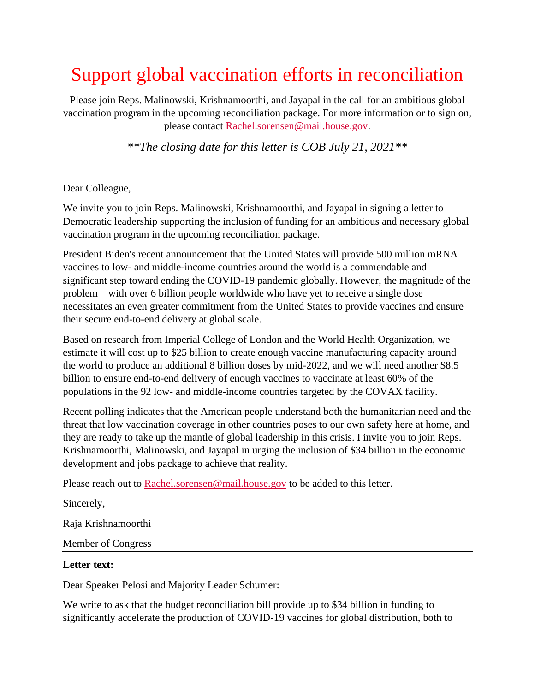## Support global vaccination efforts in reconciliation

Please join Reps. Malinowski, Krishnamoorthi, and Jayapal in the call for an ambitious global vaccination program in the upcoming reconciliation package. For more information or to sign on, please contact [Rachel.sorensen@mail.house.gov.](mailto:Rachel.sorensen@mail.house.gov)

*\*\*The closing date for this letter is COB July 21, 2021\*\**

Dear Colleague,

We invite you to join Reps. Malinowski, Krishnamoorthi, and Jayapal in signing a letter to Democratic leadership supporting the inclusion of funding for an ambitious and necessary global vaccination program in the upcoming reconciliation package.

President Biden's recent announcement that the United States will provide 500 million mRNA vaccines to low- and middle-income countries around the world is a commendable and significant step toward ending the COVID-19 pandemic globally. However, the magnitude of the problem—with over 6 billion people worldwide who have yet to receive a single dose necessitates an even greater commitment from the United States to provide vaccines and ensure their secure end-to-end delivery at global scale.

Based on research from Imperial College of London and the World Health Organization, we estimate it will cost up to \$25 billion to create enough vaccine manufacturing capacity around the world to produce an additional 8 billion doses by mid-2022, and we will need another \$8.5 billion to ensure end-to-end delivery of enough vaccines to vaccinate at least 60% of the populations in the 92 low- and middle-income countries targeted by the COVAX facility.

Recent polling indicates that the American people understand both the humanitarian need and the threat that low vaccination coverage in other countries poses to our own safety here at home, and they are ready to take up the mantle of global leadership in this crisis. I invite you to join Reps. Krishnamoorthi, Malinowski, and Jayapal in urging the inclusion of \$34 billion in the economic development and jobs package to achieve that reality.

Please reach out to [Rachel.sorensen@mail.house.gov](mailto:Rachel.sorensen@mail.house.gov) to be added to this letter.

Sincerely,

Raja Krishnamoorthi

Member of Congress

## **Letter text:**

Dear Speaker Pelosi and Majority Leader Schumer:

We write to ask that the budget reconciliation bill provide up to \$34 billion in funding to significantly accelerate the production of COVID-19 vaccines for global distribution, both to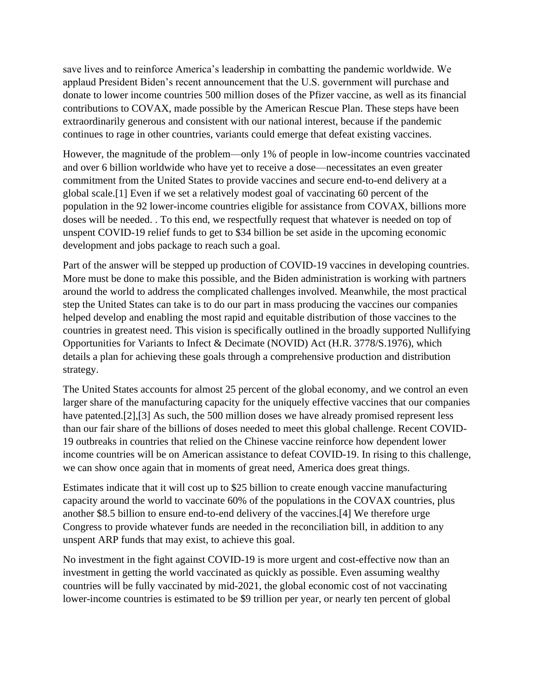save lives and to reinforce America's leadership in combatting the pandemic worldwide. We applaud President Biden's recent announcement that the U.S. government will purchase and donate to lower income countries 500 million doses of the Pfizer vaccine, as well as its financial contributions to COVAX, made possible by the American Rescue Plan. These steps have been extraordinarily generous and consistent with our national interest, because if the pandemic continues to rage in other countries, variants could emerge that defeat existing vaccines.

However, the magnitude of the problem—only 1% of people in low-income countries vaccinated and over 6 billion worldwide who have yet to receive a dose—necessitates an even greater commitment from the United States to provide vaccines and secure end-to-end delivery at a global scale.[1] Even if we set a relatively modest goal of vaccinating 60 percent of the population in the 92 lower-income countries eligible for assistance from COVAX, billions more doses will be needed. . To this end, we respectfully request that whatever is needed on top of unspent COVID-19 relief funds to get to \$34 billion be set aside in the upcoming economic development and jobs package to reach such a goal.

Part of the answer will be stepped up production of COVID-19 vaccines in developing countries. More must be done to make this possible, and the Biden administration is working with partners around the world to address the complicated challenges involved. Meanwhile, the most practical step the United States can take is to do our part in mass producing the vaccines our companies helped develop and enabling the most rapid and equitable distribution of those vaccines to the countries in greatest need. This vision is specifically outlined in the broadly supported Nullifying Opportunities for Variants to Infect & Decimate (NOVID) Act (H.R. 3778/S.1976), which details a plan for achieving these goals through a comprehensive production and distribution strategy.

The United States accounts for almost 25 percent of the global economy, and we control an even larger share of the manufacturing capacity for the uniquely effective vaccines that our companies have patented.[2],[3] As such, the 500 million doses we have already promised represent less than our fair share of the billions of doses needed to meet this global challenge. Recent COVID-19 outbreaks in countries that relied on the Chinese vaccine reinforce how dependent lower income countries will be on American assistance to defeat COVID-19. In rising to this challenge, we can show once again that in moments of great need, America does great things.

Estimates indicate that it will cost up to \$25 billion to create enough vaccine manufacturing capacity around the world to vaccinate 60% of the populations in the COVAX countries, plus another \$8.5 billion to ensure end-to-end delivery of the vaccines.[4] We therefore urge Congress to provide whatever funds are needed in the reconciliation bill, in addition to any unspent ARP funds that may exist, to achieve this goal.

No investment in the fight against COVID-19 is more urgent and cost-effective now than an investment in getting the world vaccinated as quickly as possible. Even assuming wealthy countries will be fully vaccinated by mid-2021, the global economic cost of not vaccinating lower-income countries is estimated to be \$9 trillion per year, or nearly ten percent of global